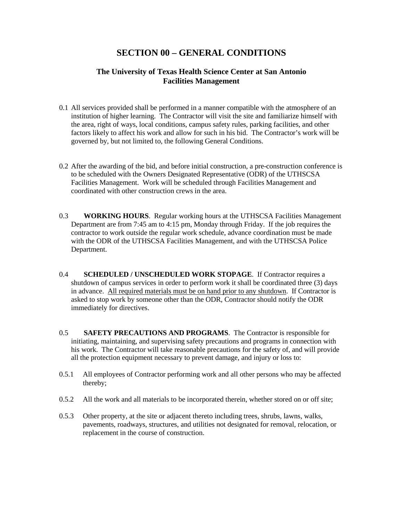# **SECTION 00 – GENERAL CONDITIONS**

### **The University of Texas Health Science Center at San Antonio Facilities Management**

- 0.1 All services provided shall be performed in a manner compatible with the atmosphere of an institution of higher learning. The Contractor will visit the site and familiarize himself with the area, right of ways, local conditions, campus safety rules, parking facilities, and other factors likely to affect his work and allow for such in his bid. The Contractor's work will be governed by, but not limited to, the following General Conditions.
- 0.2 After the awarding of the bid, and before initial construction, a pre-construction conference is to be scheduled with the Owners Designated Representative (ODR) of the UTHSCSA Facilities Management. Work will be scheduled through Facilities Management and coordinated with other construction crews in the area.
- 0.3 **WORKING HOURS**. Regular working hours at the UTHSCSA Facilities Management Department are from 7:45 am to 4:15 pm, Monday through Friday. If the job requires the contractor to work outside the regular work schedule, advance coordination must be made with the ODR of the UTHSCSA Facilities Management, and with the UTHSCSA Police Department.
- 0.4 **SCHEDULED / UNSCHEDULED WORK STOPAGE**. If Contractor requires a shutdown of campus services in order to perform work it shall be coordinated three (3) days in advance. All required materials must be on hand prior to any shutdown. If Contractor is asked to stop work by someone other than the ODR, Contractor should notify the ODR immediately for directives.
- 0.5 **SAFETY PRECAUTIONS AND PROGRAMS**. The Contractor is responsible for initiating, maintaining, and supervising safety precautions and programs in connection with his work. The Contractor will take reasonable precautions for the safety of, and will provide all the protection equipment necessary to prevent damage, and injury or loss to:
- 0.5.1 All employees of Contractor performing work and all other persons who may be affected thereby;
- 0.5.2 All the work and all materials to be incorporated therein, whether stored on or off site;
- 0.5.3 Other property, at the site or adjacent thereto including trees, shrubs, lawns, walks, pavements, roadways, structures, and utilities not designated for removal, relocation, or replacement in the course of construction.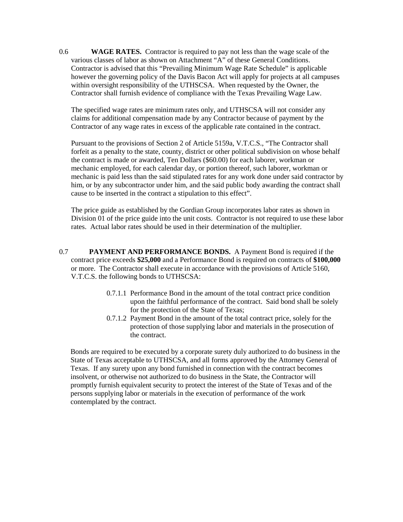0.6 **WAGE RATES.** Contractor is required to pay not less than the wage scale of the various classes of labor as shown on Attachment "A" of these General Conditions. Contractor is advised that this "Prevailing Minimum Wage Rate Schedule" is applicable however the governing policy of the Davis Bacon Act will apply for projects at all campuses within oversight responsibility of the UTHSCSA. When requested by the Owner, the Contractor shall furnish evidence of compliance with the Texas Prevailing Wage Law.

The specified wage rates are minimum rates only, and UTHSCSA will not consider any claims for additional compensation made by any Contractor because of payment by the Contractor of any wage rates in excess of the applicable rate contained in the contract.

Pursuant to the provisions of Section 2 of Article 5159a, V.T.C.S., "The Contractor shall forfeit as a penalty to the state, county, district or other political subdivision on whose behalf the contract is made or awarded, Ten Dollars (\$60.00) for each laborer, workman or mechanic employed, for each calendar day, or portion thereof, such laborer, workman or mechanic is paid less than the said stipulated rates for any work done under said contractor by him, or by any subcontractor under him, and the said public body awarding the contract shall cause to be inserted in the contract a stipulation to this effect".

The price guide as established by the Gordian Group incorporates labor rates as shown in Division 01 of the price guide into the unit costs. Contractor is not required to use these labor rates. Actual labor rates should be used in their determination of the multiplier.

- 0.7 **PAYMENT AND PERFORMANCE BONDS.** A Payment Bond is required if the contract price exceeds **\$25,000** and a Performance Bond is required on contracts of **\$100,000** or more. The Contractor shall execute in accordance with the provisions of Article 5160, V.T.C.S. the following bonds to UTHSCSA:
	- 0.7.1.1 Performance Bond in the amount of the total contract price condition upon the faithful performance of the contract. Said bond shall be solely for the protection of the State of Texas;
	- 0.7.1.2 Payment Bond in the amount of the total contract price, solely for the protection of those supplying labor and materials in the prosecution of the contract.

Bonds are required to be executed by a corporate surety duly authorized to do business in the State of Texas acceptable to UTHSCSA, and all forms approved by the Attorney General of Texas. If any surety upon any bond furnished in connection with the contract becomes insolvent, or otherwise not authorized to do business in the State, the Contractor will promptly furnish equivalent security to protect the interest of the State of Texas and of the persons supplying labor or materials in the execution of performance of the work contemplated by the contract.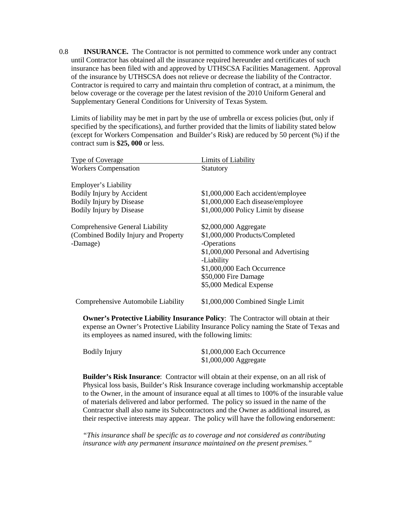0.8 **INSURANCE.** The Contractor is not permitted to commence work under any contract until Contractor has obtained all the insurance required hereunder and certificates of such insurance has been filed with and approved by UTHSCSA Facilities Management. Approval of the insurance by UTHSCSA does not relieve or decrease the liability of the Contractor. Contractor is required to carry and maintain thru completion of contract, at a minimum, the below coverage or the coverage per the latest revision of the 2010 Uniform General and Supplementary General Conditions for University of Texas System.

Limits of liability may be met in part by the use of umbrella or excess policies (but, only if specified by the specifications), and further provided that the limits of liability stated below (except for Workers Compensation and Builder's Risk) are reduced by 50 percent (%) if the contract sum is **\$25, 000** or less.

| <b>Type of Coverage</b>                                                                                          | Limits of Liability                                                                                                                                                                                            |
|------------------------------------------------------------------------------------------------------------------|----------------------------------------------------------------------------------------------------------------------------------------------------------------------------------------------------------------|
| <b>Workers Compensation</b>                                                                                      | <b>Statutory</b>                                                                                                                                                                                               |
| Employer's Liability<br>Bodily Injury by Accident<br>Bodily Injury by Disease<br><b>Bodily Injury by Disease</b> | \$1,000,000 Each accident/employee<br>\$1,000,000 Each disease/employee<br>\$1,000,000 Policy Limit by disease                                                                                                 |
| Comprehensive General Liability<br>(Combined Bodily Injury and Property<br>-Damage)                              | \$2,000,000 Aggregate<br>\$1,000,000 Products/Completed<br>-Operations<br>\$1,000,000 Personal and Advertising<br>-Liability<br>\$1,000,000 Each Occurrence<br>\$50,000 Fire Damage<br>\$5,000 Medical Expense |
| Comprehensive Automobile Liability                                                                               | \$1,000,000 Combined Single Limit                                                                                                                                                                              |

 **Owner's Protective Liability Insurance Policy**: The Contractor will obtain at their expense an Owner's Protective Liability Insurance Policy naming the State of Texas and its employees as named insured, with the following limits:

| <b>Bodily Injury</b> | \$1,000,000 Each Occurrence |
|----------------------|-----------------------------|
|                      | $$1,000,000$ Aggregate      |

 **Builder's Risk Insurance**: Contractor will obtain at their expense, on an all risk of Physical loss basis, Builder's Risk Insurance coverage including workmanship acceptable to the Owner, in the amount of insurance equal at all times to 100% of the insurable value of materials delivered and labor performed. The policy so issued in the name of the Contractor shall also name its Subcontractors and the Owner as additional insured, as their respective interests may appear. The policy will have the following endorsement:

*"This insurance shall be specific as to coverage and not considered as contributing insurance with any permanent insurance maintained on the present premises."*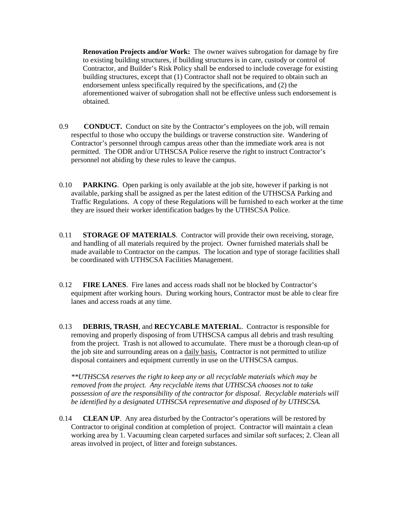**Renovation Projects and/or Work:** The owner waives subrogation for damage by fire to existing building structures, if building structures is in care, custody or control of Contractor, and Builder's Risk Policy shall be endorsed to include coverage for existing building structures, except that (1) Contractor shall not be required to obtain such an endorsement unless specifically required by the specifications, and (2) the aforementioned waiver of subrogation shall not be effective unless such endorsement is obtained.

- 0.9 **CONDUCT.** Conduct on site by the Contractor's employees on the job, will remain respectful to those who occupy the buildings or traverse construction site. Wandering of Contractor's personnel through campus areas other than the immediate work area is not permitted. The ODR and/or UTHSCSA Police reserve the right to instruct Contractor's personnel not abiding by these rules to leave the campus.
- 0.10 **PARKING**. Open parking is only available at the job site, however if parking is not available, parking shall be assigned as per the latest edition of the UTHSCSA Parking and Traffic Regulations. A copy of these Regulations will be furnished to each worker at the time they are issued their worker identification badges by the UTHSCSA Police.
- 0.11 **STORAGE OF MATERIALS**. Contractor will provide their own receiving, storage, and handling of all materials required by the project. Owner furnished materials shall be made available to Contractor on the campus. The location and type of storage facilities shall be coordinated with UTHSCSA Facilities Management.
- 0.12 **FIRE LANES**. Fire lanes and access roads shall not be blocked by Contractor's equipment after working hours. During working hours, Contractor must be able to clear fire lanes and access roads at any time.
- 0.13 **DEBRIS, TRASH**, and **RECYCABLE MATERIAL**. Contractor is responsible for removing and properly disposing of from UTHSCSA campus all debris and trash resulting from the project. Trash is not allowed to accumulate. There must be a thorough clean-up of the job site and surrounding areas on a daily basis**.** Contractor is not permitted to utilize disposal containers and equipment currently in use on the UTHSCSA campus.

*\*\*UTHSCSA reserves the right to keep any or all recyclable materials which may be removed from the project. Any recyclable items that UTHSCSA chooses not to take possession of are the responsibility of the contractor for disposal. Recyclable materials will be identified by a designated UTHSCSA representative and disposed of by UTHSCSA.* 

0.14 **CLEAN UP**. Any area disturbed by the Contractor's operations will be restored by Contractor to original condition at completion of project. Contractor will maintain a clean working area by 1. Vacuuming clean carpeted surfaces and similar soft surfaces; 2. Clean all areas involved in project, of litter and foreign substances.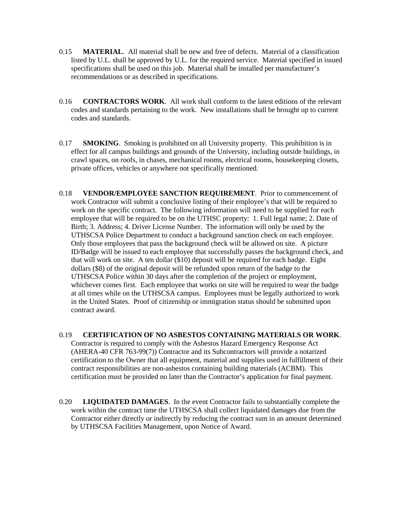- 0.15 **MATERIAL**. All material shall be new and free of defects. Material of a classification listed by U.L. shall be approved by U.L. for the required service. Material specified in issued specifications shall be used on this job. Material shall be installed per manufacturer's recommendations or as described in specifications.
- 0.16 **CONTRACTORS WORK**. All work shall conform to the latest editions of the relevant codes and standards pertaining to the work. New installations shall be brought up to current codes and standards.
- 0.17 **SMOKING**. Smoking is prohibited on all University property. This prohibition is in effect for all campus buildings and grounds of the University, including outside buildings, in crawl spaces, on roofs, in chases, mechanical rooms, electrical rooms, housekeeping closets, private offices, vehicles or anywhere not specifically mentioned.
- 0.18 **VENDOR/EMPLOYEE SANCTION REQUIREMENT**. Prior to commencement of work Contractor will submit a conclusive listing of their employee's that will be required to work on the specific contract. The following information will need to be supplied for each employee that will be required to be on the UTHSC property: 1. Full legal name; 2. Date of Birth; 3. Address; 4. Driver License Number. The information will only be used by the UTHSCSA Police Department to conduct a background sanction check on each employee. Only those employees that pass the background check will be allowed on site. A picture ID/Badge will be issued to each employee that successfully passes the background check, and that will work on site. A ten dollar (\$10) deposit will be required for each badge. Eight dollars (\$8) of the original deposit will be refunded upon return of the badge to the UTHSCSA Police within 30 days after the completion of the project or employment, whichever comes first. Each employee that works on site will be required to wear the badge at all times while on the UTHSCSA campus. Employees must be legally authorized to work in the United States. Proof of citizenship or immigration status should be submitted upon contract award.
- 0.19 **CERTIFICATION OF NO ASBESTOS CONTAINING MATERIALS OR WORK**. Contractor is required to comply with the Asbestos Hazard Emergency Response Act (AHERA-40 CFR 763-99(7)) Contractor and its Subcontractors will provide a notarized certification to the Owner that all equipment, material and supplies used in fulfillment of their contract responsibilities are non-asbestos containing building materials (ACBM). This certification must be provided no later than the Contractor's application for final payment.
- 0.20 **LIQUIDATED DAMAGES**. In the event Contractor fails to substantially complete the work within the contract time the UTHSCSA shall collect liquidated damages due from the Contractor either directly or indirectly by reducing the contract sum in an amount determined by UTHSCSA Facilities Management, upon Notice of Award.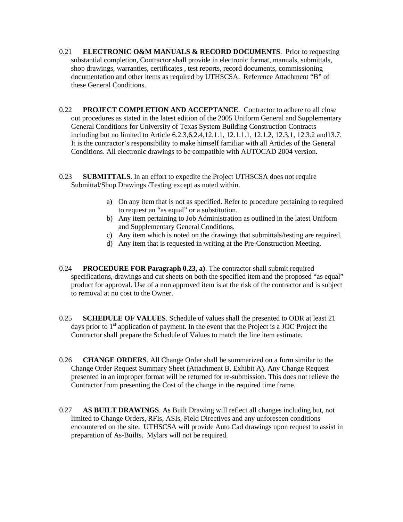- 0.21 **ELECTRONIC O&M MANUALS & RECORD DOCUMENTS**. Prior to requesting substantial completion, Contractor shall provide in electronic format, manuals, submittals, shop drawings, warranties, certificates , test reports, record documents, commissioning documentation and other items as required by UTHSCSA. Reference Attachment "B" of these General Conditions.
- 0.22 **PROJECT COMPLETION AND ACCEPTANCE**. Contractor to adhere to all close out procedures as stated in the latest edition of the 2005 Uniform General and Supplementary General Conditions for University of Texas System Building Construction Contracts including but no limited to Article 6.2.3,6.2.4,12.1.1, 12.1.1.1, 12.1.2, 12.3.1, 12.3.2 and13.7. It is the contractor's responsibility to make himself familiar with all Articles of the General Conditions. All electronic drawings to be compatible with AUTOCAD 2004 version.
- 0.23 **SUBMITTALS**. In an effort to expedite the Project UTHSCSA does not require Submittal/Shop Drawings /Testing except as noted within.
	- a) On any item that is not as specified. Refer to procedure pertaining to required to request an "as equal" or a substitution.
	- b) Any item pertaining to Job Administration as outlined in the latest Uniform and Supplementary General Conditions.
	- c) Any item which is noted on the drawings that submittals/testing are required.
	- d) Any item that is requested in writing at the Pre-Construction Meeting.
- 0.24 **PROCEDURE FOR Paragraph 0.23, a)**. The contractor shall submit required specifications, drawings and cut sheets on both the specified item and the proposed "as equal" product for approval. Use of a non approved item is at the risk of the contractor and is subject to removal at no cost to the Owner.
- 0.25 **SCHEDULE OF VALUES**. Schedule of values shall the presented to ODR at least 21 days prior to  $1<sup>st</sup>$  application of payment. In the event that the Project is a JOC Project the Contractor shall prepare the Schedule of Values to match the line item estimate.
- 0.26 **CHANGE ORDERS**. All Change Order shall be summarized on a form similar to the Change Order Request Summary Sheet (Attachment B, Exhibit A). Any Change Request presented in an improper format will be returned for re-submission. This does not relieve the Contractor from presenting the Cost of the change in the required time frame.
- 0.27 **AS BUILT DRAWINGS**. As Built Drawing will reflect all changes including but, not limited to Change Orders, RFIs, ASIs, Field Directives and any unforeseen conditions encountered on the site. UTHSCSA will provide Auto Cad drawings upon request to assist in preparation of As-Builts. Mylars will not be required.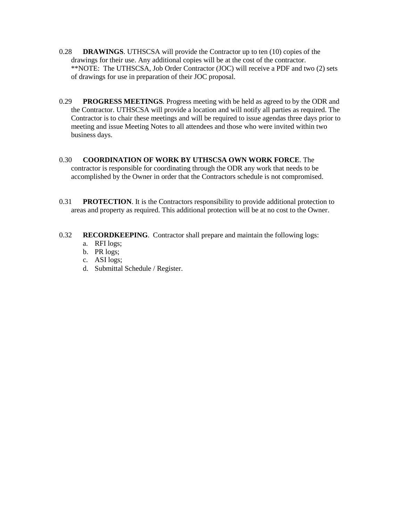- 0.28 **DRAWINGS**. UTHSCSA will provide the Contractor up to ten (10) copies of the drawings for their use. Any additional copies will be at the cost of the contractor. \*\*NOTE: The UTHSCSA, Job Order Contractor (JOC) will receive a PDF and two (2) sets of drawings for use in preparation of their JOC proposal.
- 0.29 **PROGRESS MEETINGS**. Progress meeting with be held as agreed to by the ODR and the Contractor. UTHSCSA will provide a location and will notify all parties as required. The Contractor is to chair these meetings and will be required to issue agendas three days prior to meeting and issue Meeting Notes to all attendees and those who were invited within two business days.
- 0.30 **COORDINATION OF WORK BY UTHSCSA OWN WORK FORCE**. The contractor is responsible for coordinating through the ODR any work that needs to be accomplished by the Owner in order that the Contractors schedule is not compromised.
- 0.31 **PROTECTION**. It is the Contractors responsibility to provide additional protection to areas and property as required. This additional protection will be at no cost to the Owner.
- 0.32 **RECORDKEEPING**. Contractor shall prepare and maintain the following logs:
	- a. RFI logs;
	- b. PR logs;
	- c. ASI logs;
	- d. Submittal Schedule / Register.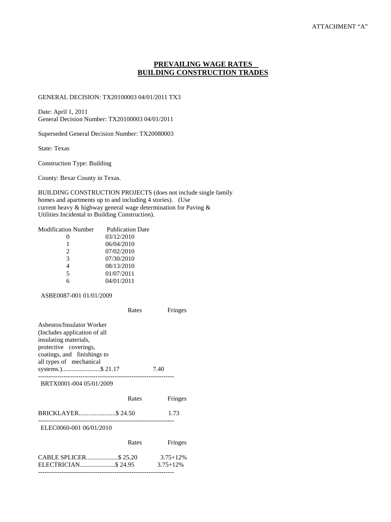## **PREVAILING WAGE RATES BUILDING CONSTRUCTION TRADES**

#### GENERAL DECISION: TX20100003 04/01/2011 TX3

Date: April 1, 2011 General Decision Number: TX20100003 04/01/2011

Superseded General Decision Number: TX20080003

State: Texas

Construction Type: Building

County: Bexar County in Texas.

BUILDING CONSTRUCTION PROJECTS (does not include single family homes and apartments up to and including 4 stories). (Use current heavy & highway general wage determination for Paving & Utilities Incidental to Building Construction).

| Modification Number | <b>Publication Date</b> |
|---------------------|-------------------------|
|                     | 03/12/2010              |
|                     | 06/04/2010              |
| $\mathcal{L}$       | 07/02/2010              |
| 3                   | 07/30/2010              |
| 4                   | 08/13/2010              |
| 5                   | 01/07/2011              |
|                     | 04/01/2011              |
|                     |                         |

#### ASBE0087-001 01/01/2009

|                                                                                                                                                                       | Rates | Fringes                        |
|-----------------------------------------------------------------------------------------------------------------------------------------------------------------------|-------|--------------------------------|
| Asbestos/Insulator Worker<br>(Includes application of all<br>insulating materials,<br>protective coverings,<br>coatings, and finishings to<br>all types of mechanical |       |                                |
| systems.)\$ 21.17                                                                                                                                                     |       | 7.40                           |
| BRTX0001-004 05/01/2009                                                                                                                                               |       |                                |
|                                                                                                                                                                       | Rates | Fringes                        |
|                                                                                                                                                                       |       | 1.73                           |
| --------------------<br>ELEC0060-001 06/01/2010                                                                                                                       |       |                                |
|                                                                                                                                                                       | Rates | Fringes                        |
| CABLE SPLICER\$ 25.20<br>ELECTRICIAN\$24.95                                                                                                                           |       | $3.75 + 12\%$<br>$3.75 + 12\%$ |

----------------------------------------------------------------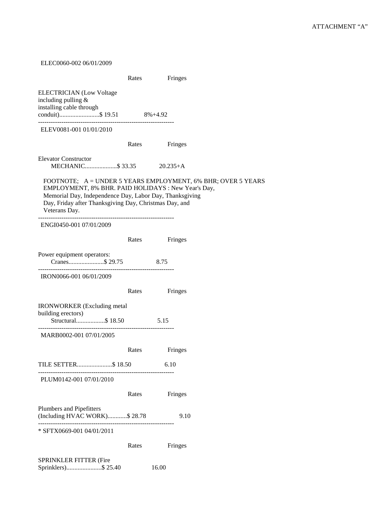ELEC0060-002 06/01/2009 Rates Fringes ELECTRICIAN (Low Voltage including pulling & installing cable through conduit).........................\$ 19.51 8%+4.92 ---------------------------------------------------------------- ELEV0081-001 01/01/2010 Rates Fringes Elevator Constructor MECHANIC....................\$ 33.35 20.235+A FOOTNOTE; A = UNDER 5 YEARS EMPLOYMENT, 6% BHR; OVER 5 YEARS EMPLOYMENT, 8% BHR. PAID HOLIDAYS : New Year's Day, Memorial Day, Independence Day, Labor Day, Thanksgiving Day, Friday after Thanksgiving Day, Christmas Day, and Veterans Day. ---------------------------------------------------------------- ENGI0450-001 07/01/2009 Rates Fringes Power equipment operators: Cranes......................\$ 29.75 8.75 ---------------------------------------------------------------- IRON0066-001 06/01/2009 Rates Fringes IRONWORKER (Excluding metal building erectors) Structural..................\$ 18.50 5.15 ---------------------------------------------------------------- MARB0002-001 07/01/2005 Rates Fringes TILE SETTER......................\$ 18.50 6.10 ---------------------------------------------------------------- PLUM0142-001 07/01/2010 Rates Fringes Plumbers and Pipefitters (Including HVAC WORK)............\$ 28.78 9.10 ---------------------------------------------------------------- \* SFTX0669-001 04/01/2011 Rates Fringes SPRINKLER FITTER (Fire Sprinklers)......................\$ 25.40 16.00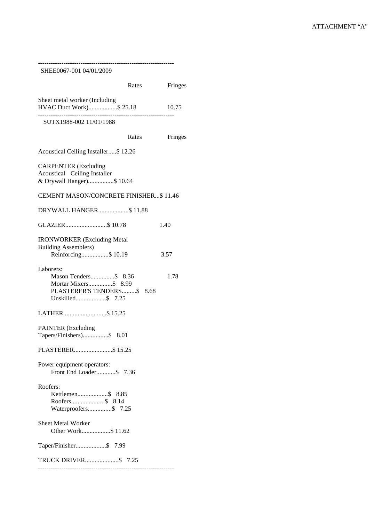| SHEE0067-001 04/01/2009                                                                                     |         |
|-------------------------------------------------------------------------------------------------------------|---------|
| Rates                                                                                                       | Fringes |
| Sheet metal worker (Including<br>HVAC Duct Work)\$ 25.18                                                    | 10.75   |
| SUTX1988-002 11/01/1988                                                                                     |         |
| Rates                                                                                                       | Fringes |
| Acoustical Ceiling Installer\$12.26                                                                         |         |
| <b>CARPENTER</b> (Excluding<br>Acoustical Ceiling Installer<br>& Drywall Hanger)\$ 10.64                    |         |
| CEMENT MASON/CONCRETE FINISHER\$ 11.46                                                                      |         |
| DRYWALL HANGER\$11.88                                                                                       |         |
| GLAZIER\$10.78                                                                                              | 1.40    |
| <b>IRONWORKER</b> (Excluding Metal<br><b>Building Assemblers)</b><br>Reinforcing\$ 10.19                    | 3.57    |
| Laborers:<br>Mason Tenders\$ 8.36<br>Mortar Mixers\$ 8.99<br>PLASTERER'S TENDERS\$ 8.68<br>Unskilled\$ 7.25 | 1.78    |
| LATHER\$ 15.25                                                                                              |         |
| <b>PAINTER</b> (Excluding<br>Tapers/Finishers)\$<br>8.01                                                    |         |
| PLASTERER\$15.25                                                                                            |         |
| Power equipment operators:<br>Front End Loader\$7.36                                                        |         |
| Roofers:<br>Waterproofers\$ 7.25                                                                            |         |
| <b>Sheet Metal Worker</b><br>Other Work\$ 11.62                                                             |         |
| Taper/Finisher\$ 7.99                                                                                       |         |
| TRUCK DRIVER\$ 7.25                                                                                         |         |

----------------------------------------------------------------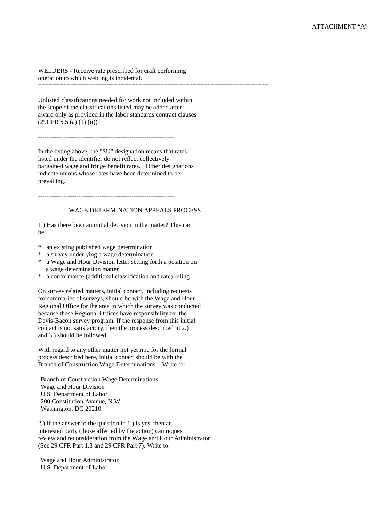WELDERS - Receive rate prescribed for craft performing operation to which welding is incidental.

Unlisted classifications needed for work not included within the scope of the classifications listed may be added after award only as provided in the labor standards contract clauses  $(29CFR 5.5 (a) (1) (ii)).$ 

================================================================

----------------------------------------------------------------

In the listing above, the "SU" designation means that rates listed under the identifier do not reflect collectively bargained wage and fringe benefit rates. Other designations indicate unions whose rates have been determined to be prevailing.

----------------------------------------------------------------

#### WAGE DETERMINATION APPEALS PROCESS

1.) Has there been an initial decision in the matter? This can be:

- \* an existing published wage determination
- a survey underlying a wage determination
- \* a Wage and Hour Division letter setting forth a position on a wage determination matter
- \* a conformance (additional classification and rate) ruling

On survey related matters, initial contact, including requests for summaries of surveys, should be with the Wage and Hour Regional Office for the area in which the survey was conducted because those Regional Offices have responsibility for the Davis-Bacon survey program. If the response from this initial contact is not satisfactory, then the process described in 2.) and 3.) should be followed.

With regard to any other matter not yet ripe for the formal process described here, initial contact should be with the Branch of Construction Wage Determinations. Write to:

Branch of Construction Wage Determinations Wage and Hour Division U.S. Department of Labor 200 Constitution Avenue, N.W. Washington, DC 20210

2.) If the answer to the question in 1.) is yes, then an interested party (those affected by the action) can request review and reconsideration from the Wage and Hour Administrator (See 29 CFR Part 1.8 and 29 CFR Part 7). Write to:

Wage and Hour Administrator U.S. Department of Labor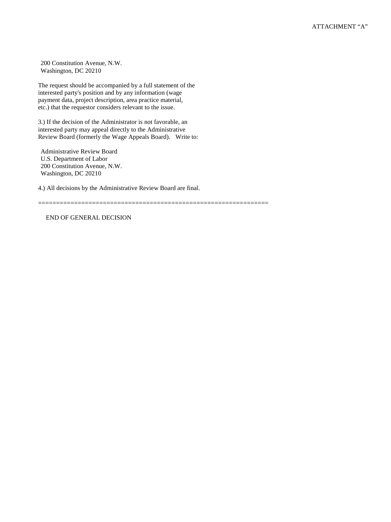200 Constitution Avenue, N.W. Washington, DC 20210

The request should be accompanied by a full statement of the interested party's position and by any information (wage payment data, project description, area practice material, etc.) that the requestor considers relevant to the issue.

3.) If the decision of the Administrator is not favorable, an interested party may appeal directly to the Administrative Review Board (formerly the Wage Appeals Board). Write to:

Administrative Review Board U.S. Department of Labor 200 Constitution Avenue, N.W. Washington, DC 20210

4.) All decisions by the Administrative Review Board are final.

================================================================

END OF GENERAL DECISION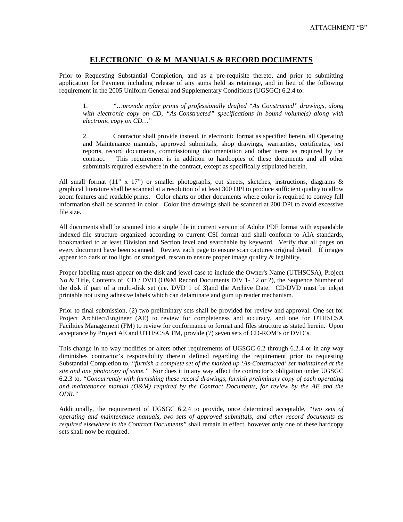## **ELECTRONIC O & M MANUALS & RECORD DOCUMENTS**

Prior to Requesting Substantial Completion, and as a pre-requisite thereto, and prior to submitting application for Payment including release of any sums held as retainage, and in lieu of the following requirement in the 2005 Uniform General and Supplementary Conditions (UGSGC) 6.2.4 to:

1. *"…provide mylar prints of professionally drafted "As Constructed" drawings, along with electronic copy on CD, "As-Constructed" specifications in bound volume(s) along with electronic copy on CD…"*

2. Contractor shall provide instead, in electronic format as specified herein, all Operating and Maintenance manuals, approved submittals, shop drawings, warranties, certificates, test reports, record documents, commissioning documentation and other items as required by the contract. This requirement is in addition to hardcopies of these documents and all other submittals required elsewhere in the contract, except as specifically stipulated herein.

All small format (11" x 17") or smaller photographs, cut sheets, sketches, instructions, diagrams & graphical literature shall be scanned at a resolution of at least 300 DPI to produce sufficient quality to allow zoom features and readable prints. Color charts or other documents where color is required to convey full information shall be scanned in color. Color line drawings shall be scanned at 200 DPI to avoid excessive file size.

All documents shall be scanned into a single file in current version of Adobe PDF format with expandable indexed file structure organized according to current CSI format and shall conform to AIA standards, bookmarked to at least Division and Section level and searchable by keyword. Verify that all pages on every document have been scanned. Review each page to ensure scan captures original detail. If images appear too dark or too light, or smudged, rescan to ensure proper image quality & legibility.

Proper labeling must appear on the disk and jewel case to include the Owner's Name (UTHSCSA), Project No & Title, Contents of CD / DVD (O&M Record Documents DIV 1- 12 or ?), the Sequence Number of the disk if part of a multi-disk set (i.e. DVD 1 of 3)and the Archive Date. CD/DVD must be inkjet printable not using adhesive labels which can delaminate and gum up reader mechanism.

Prior to final submission, (2) two preliminary sets shall be provided for review and approval: One set for Project Architect/Engineer (AE) to review for completeness and accuracy, and one for UTHSCSA Facilities Management (FM) to review for conformance to format and files structure as stated herein. Upon acceptance by Project AE and UTHSCSA FM, provide (7) seven sets of CD-ROM's or DVD's.

This change in no way modifies or alters other requirements of UGSGC 6.2 through 6.2.4 or in any way diminishes contractor's responsibility therein defined regarding the requirement prior to requesting Substantial Completion to, *"furnish a complete set of the marked up 'As-Constructed' set maintained at the site and one photocopy of same."* Nor does it in any way affect the contractor's obligation under UGSGC 6.2.3 to, *"Concurrently with furnishing these record drawings, furnish preliminary copy of each operating and maintenance manual (O&M) required by the Contract Documents, for review by the AE and the ODR."*

Additionally, the requirement of UGSGC 6.2.4 to provide, once determined acceptable, *"two sets of operating and maintenance manuals, two sets of approved submittals, and other record documents as required elsewhere in the Contract Documents"* shall remain in effect, however only one of these hardcopy sets shall now be required.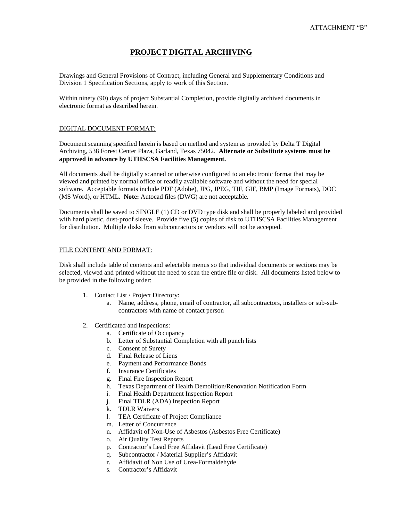### **PROJECT DIGITAL ARCHIVING**

Drawings and General Provisions of Contract, including General and Supplementary Conditions and Division 1 Specification Sections, apply to work of this Section.

Within ninety (90) days of project Substantial Completion, provide digitally archived documents in electronic format as described herein.

#### DIGITAL DOCUMENT FORMAT:

Document scanning specified herein is based on method and system as provided by Delta T Digital Archiving, 538 Forest Center Plaza, Garland, Texas 75042. **Alternate or Substitute systems must be approved in advance by UTHSCSA Facilities Management.**

All documents shall be digitally scanned or otherwise configured to an electronic format that may be viewed and printed by normal office or readily available software and without the need for special software. Acceptable formats include PDF (Adobe), JPG, JPEG, TIF, GIF, BMP (Image Formats), DOC (MS Word), or HTML. **Note:** Autocad files (DWG) are not acceptable.

Documents shall be saved to SINGLE (1) CD or DVD type disk and shall be properly labeled and provided with hard plastic, dust-proof sleeve. Provide five (5) copies of disk to UTHSCSA Facilities Management for distribution. Multiple disks from subcontractors or vendors will not be accepted.

#### FILE CONTENT AND FORMAT:

Disk shall include table of contents and selectable menus so that individual documents or sections may be selected, viewed and printed without the need to scan the entire file or disk. All documents listed below to be provided in the following order:

- 1. Contact List / Project Directory:
	- a. Name, address, phone, email of contractor, all subcontractors, installers or sub-subcontractors with name of contact person
- 2. Certificated and Inspections:
	- a. Certificate of Occupancy
	- b. Letter of Substantial Completion with all punch lists
	- c. Consent of Surety
	- d. Final Release of Liens
	- e. Payment and Performance Bonds
	- f. Insurance Certificates
	- g. Final Fire Inspection Report
	- h. Texas Department of Health Demolition/Renovation Notification Form
	- i. Final Health Department Inspection Report
	- j. Final TDLR (ADA) Inspection Report
	- k. TDLR Waivers
	- l. TEA Certificate of Project Compliance
	- m. Letter of Concurrence
	- n. Affidavit of Non-Use of Asbestos (Asbestos Free Certificate)
	- o. Air Quality Test Reports
	- p. Contractor's Lead Free Affidavit (Lead Free Certificate)
	- q. Subcontractor / Material Supplier's Affidavit
	- r. Affidavit of Non Use of Urea-Formaldehyde
	- s. Contractor's Affidavit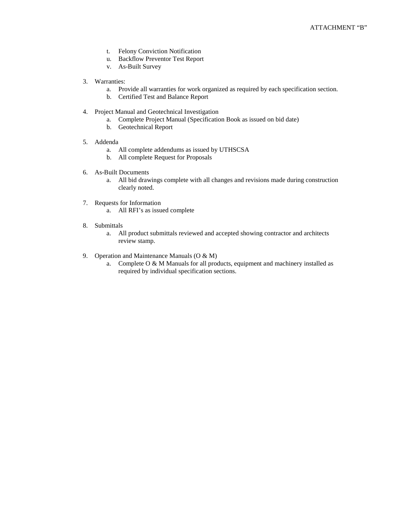- t. Felony Conviction Notification
- u. Backflow Preventor Test Report
- v. As-Built Survey
- 3. Warranties:
	- a. Provide all warranties for work organized as required by each specification section.
	- b. Certified Test and Balance Report
- 4. Project Manual and Geotechnical Investigation
	- a. Complete Project Manual (Specification Book as issued on bid date)
	- b. Geotechnical Report
- 5. Addenda
	- a. All complete addendums as issued by UTHSCSA
	- b. All complete Request for Proposals
- 6. As-Built Documents
	- a. All bid drawings complete with all changes and revisions made during construction clearly noted.
- 7. Requests for Information
	- a. All RFI's as issued complete
- 8. Submittals
	- a. All product submittals reviewed and accepted showing contractor and architects review stamp.
- 9. Operation and Maintenance Manuals (O & M)
	- a. Complete O & M Manuals for all products, equipment and machinery installed as required by individual specification sections.